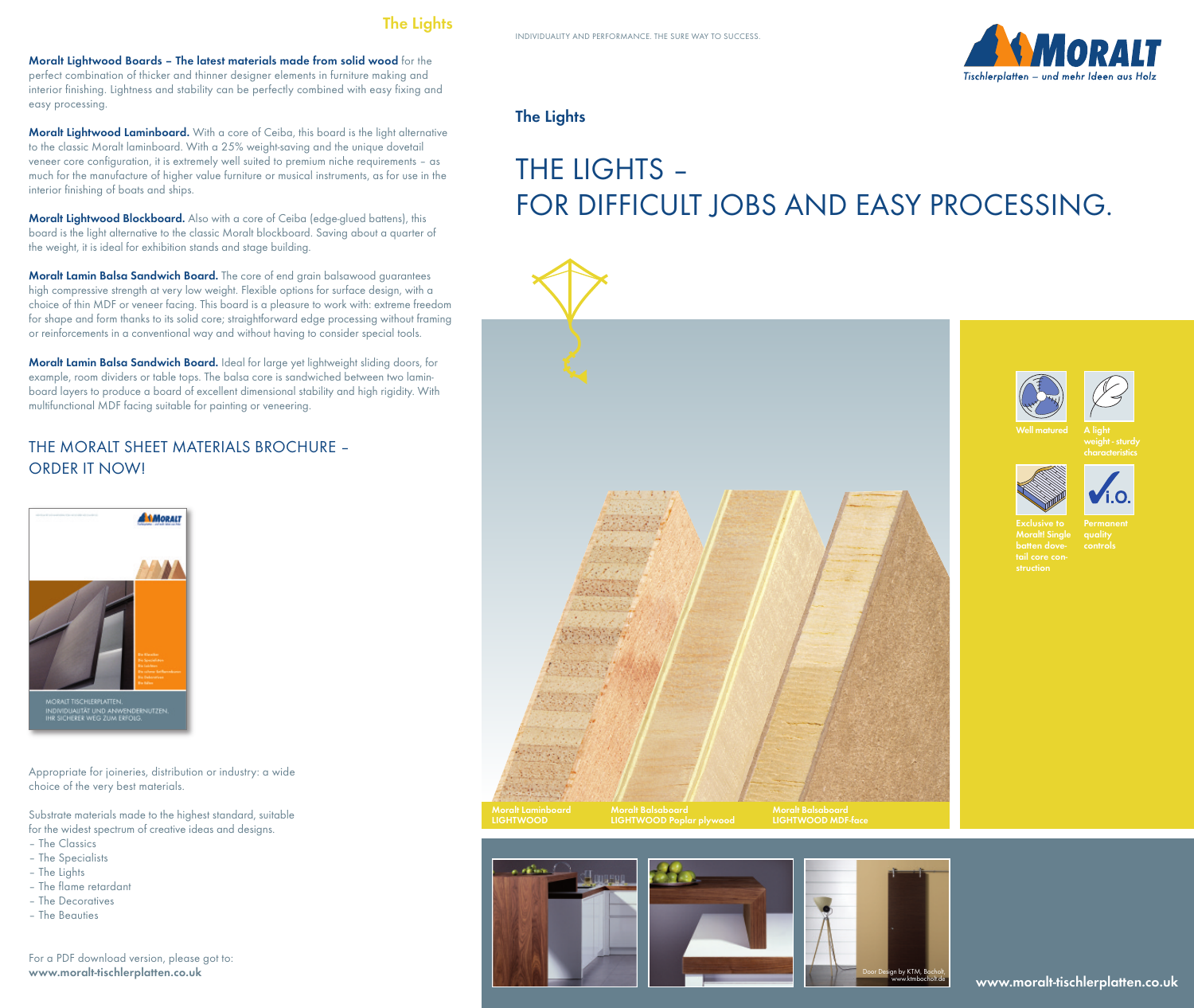

**Moralt Lightwood Boards – The latest materials made from solid wood** for the perfect combination of thicker and thinner designer elements in furniture making and interior finishing. Lightness and stability can be perfectly combined with easy fixing and easy processing.

**Moralt Lightwood Laminboard.** With a core of Ceiba, this board is the light alternative to the classic Moralt laminboard. With a 25% weight-saving and the unique dovetail veneer core configuration, it is extremely well suited to premium niche requirements – as much for the manufacture of higher value furniture or musical instruments, as for use in the interior finishing of boats and ships.

**Moralt Lightwood Blockboard.** Also with a core of Ceiba (edge-glued battens), this board is the light alternative to the classic Moralt blockboard. Saving about a quarter of the weight, it is ideal for exhibition stands and stage building.

**Moralt Lamin Balsa Sandwich Board.** The core of end grain balsawood guarantees high compressive strength at very low weight. Flexible options for surface design, with a choice of thin MDF or veneer facing. This board is a pleasure to work with: extreme freedom for shape and form thanks to its solid core; straightforward edge processing without framing or reinforcements in a conventional way and without having to consider special tools.

**Moralt Lamin Balsa Sandwich Board.** Ideal for large yet lightweight sliding doors, for example, room dividers or table tops. The balsa core is sandwiched between two laminboard layers to produce a board of excellent dimensional stability and high rigidity. With multifunctional MDF facing suitable for painting or veneering.

## THE MORALT SHEET MATERIALS BROCHURE – ORDER IT NOW!



Appropriate for joineries, distribution or industry: a wide choice of the very best materials.

Substrate materials made to the highest standard, suitable for the widest spectrum of creative ideas and designs.

- The Classics
- The Specialists
- The Lights
- The flame retardant
- The Decoratives
- The Beauties

For a PDF download version, please got to: **www.moralt-tischlerplatten.co.uk**

## **The Lights**

a Min

# THE LIGHTS – FOR DIFFICULT JOBS AND EASY PROCESSING.





**A light**

**characteristics**





**Moralt! Single batten dove-**

**www.moralt-tischlerplatten.co.uk**

Door Design by KTM, Bocholt, www.ktmbocholt.de